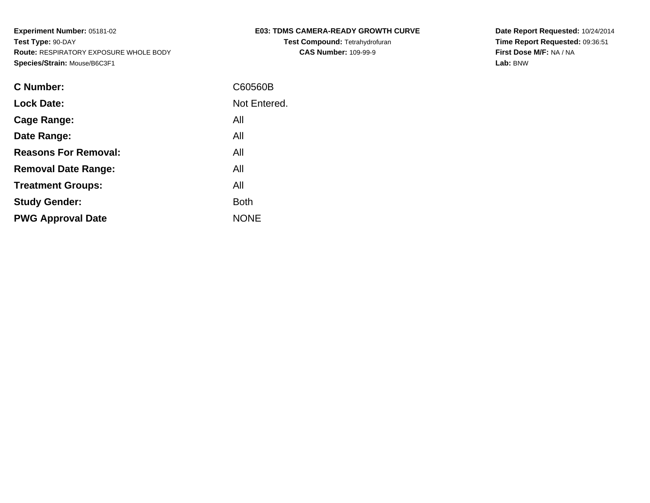**Test Compound:** Tetrahydrofuran**CAS Number:** 109-99-9

**Date Report Requested:** 10/24/2014 **Time Report Requested:** 09:36:51**First Dose M/F:** NA / NA**Lab:** BNW

| <b>C</b> Number:            | C60560B      |
|-----------------------------|--------------|
| <b>Lock Date:</b>           | Not Entered. |
| Cage Range:                 | All          |
| Date Range:                 | All          |
| <b>Reasons For Removal:</b> | All          |
| <b>Removal Date Range:</b>  | All          |
| <b>Treatment Groups:</b>    | All          |
| <b>Study Gender:</b>        | <b>Both</b>  |
| <b>PWG Approval Date</b>    | <b>NONE</b>  |
|                             |              |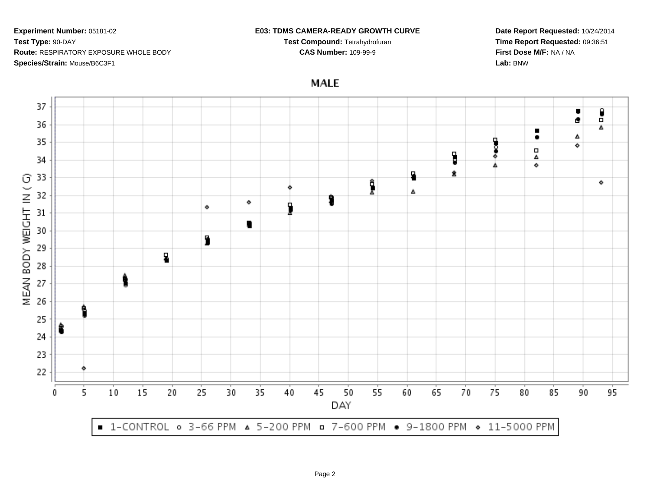### **E03: TDMS CAMERA-READY GROWTH CURVE**

**Test Compound:** Tetrahydrofuran**CAS Number:** 109-99-9

**Date Report Requested:** 10/24/2014**Time Report Requested:** 09:36:51**First Dose M/F:** NA / NA**Lab:** BNW

**MALE** 

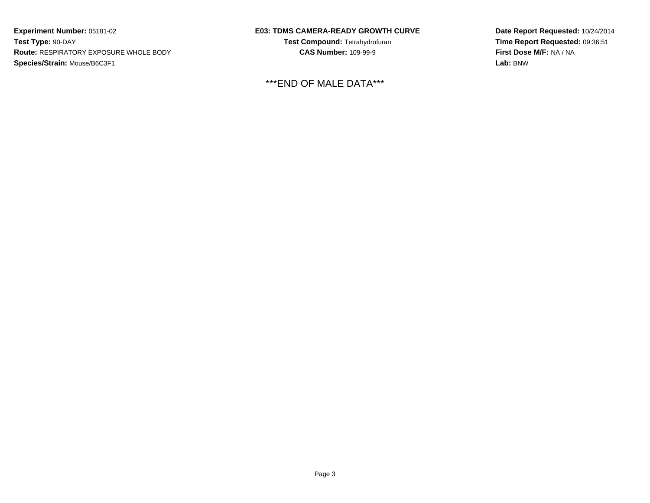## **E03: TDMS CAMERA-READY GROWTH CURVE**

**Test Compound:** Tetrahydrofuran**CAS Number:** 109-99-9

\*\*\*END OF MALE DATA\*\*\*

**Date Report Requested:** 10/24/2014**Time Report Requested:** 09:36:51**First Dose M/F:** NA / NA**Lab:** BNW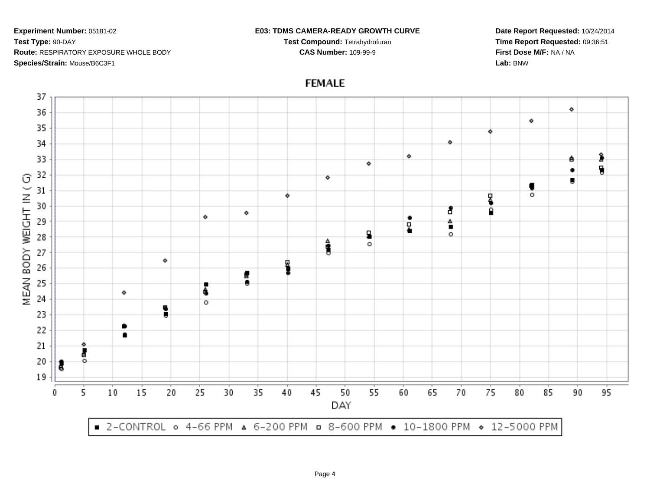#### **E03: TDMS CAMERA-READY GROWTH CURVE**

**Test Compound:** Tetrahydrofuran**CAS Number:** 109-99-9

**Date Report Requested:** 10/24/2014**Time Report Requested:** 09:36:51**First Dose M/F:** NA / NA**Lab:** BNW



# **FEMALE**